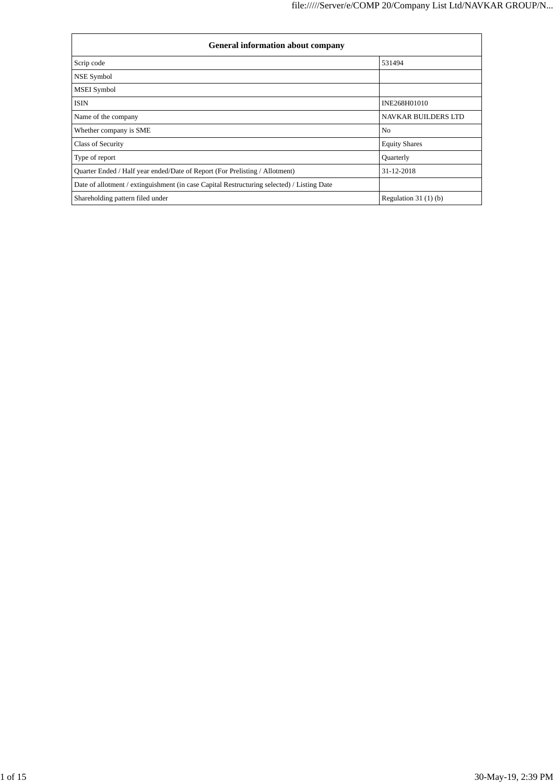| <b>General information about company</b>                                                   |                            |  |  |  |  |  |  |
|--------------------------------------------------------------------------------------------|----------------------------|--|--|--|--|--|--|
| Scrip code                                                                                 | 531494                     |  |  |  |  |  |  |
| NSE Symbol                                                                                 |                            |  |  |  |  |  |  |
| MSEI Symbol                                                                                |                            |  |  |  |  |  |  |
| <b>ISIN</b>                                                                                | INE268H01010               |  |  |  |  |  |  |
| Name of the company                                                                        | <b>NAVKAR BUILDERS LTD</b> |  |  |  |  |  |  |
| Whether company is SME                                                                     | N <sub>o</sub>             |  |  |  |  |  |  |
| <b>Class of Security</b>                                                                   | <b>Equity Shares</b>       |  |  |  |  |  |  |
| Type of report                                                                             | Quarterly                  |  |  |  |  |  |  |
| Quarter Ended / Half year ended/Date of Report (For Prelisting / Allotment)                | 31-12-2018                 |  |  |  |  |  |  |
| Date of allotment / extinguishment (in case Capital Restructuring selected) / Listing Date |                            |  |  |  |  |  |  |
| Shareholding pattern filed under                                                           | Regulation $31(1)(b)$      |  |  |  |  |  |  |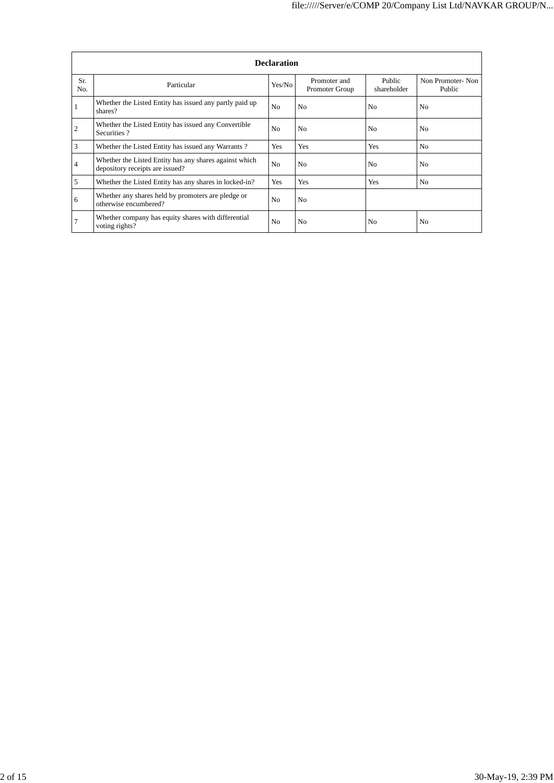|                | <b>Declaration</b>                                                                        |                |                                |                       |                            |  |  |  |  |  |
|----------------|-------------------------------------------------------------------------------------------|----------------|--------------------------------|-----------------------|----------------------------|--|--|--|--|--|
| Sr.<br>No.     | Particular                                                                                | Yes/No         | Promoter and<br>Promoter Group | Public<br>shareholder | Non Promoter-Non<br>Public |  |  |  |  |  |
|                | Whether the Listed Entity has issued any partly paid up<br>shares?                        | N <sub>0</sub> | N <sub>0</sub>                 | N <sub>0</sub>        | N <sub>o</sub>             |  |  |  |  |  |
| $\overline{c}$ | Whether the Listed Entity has issued any Convertible<br>Securities?                       | N <sub>o</sub> | N <sub>0</sub>                 | N <sub>0</sub>        | N <sub>0</sub>             |  |  |  |  |  |
| 3              | Whether the Listed Entity has issued any Warrants?                                        | <b>Yes</b>     | Yes                            | Yes                   | No.                        |  |  |  |  |  |
| 4              | Whether the Listed Entity has any shares against which<br>depository receipts are issued? | N <sub>o</sub> | N <sub>0</sub>                 | N <sub>0</sub>        | N <sub>0</sub>             |  |  |  |  |  |
| 5              | Whether the Listed Entity has any shares in locked-in?                                    | Yes            | Yes                            | Yes                   | No                         |  |  |  |  |  |
| 6              | Whether any shares held by promoters are pledge or<br>otherwise encumbered?               | N <sub>o</sub> | N <sub>0</sub>                 |                       |                            |  |  |  |  |  |
| 7              | Whether company has equity shares with differential<br>voting rights?                     | No.            | N <sub>0</sub>                 | N <sub>0</sub>        | N <sub>0</sub>             |  |  |  |  |  |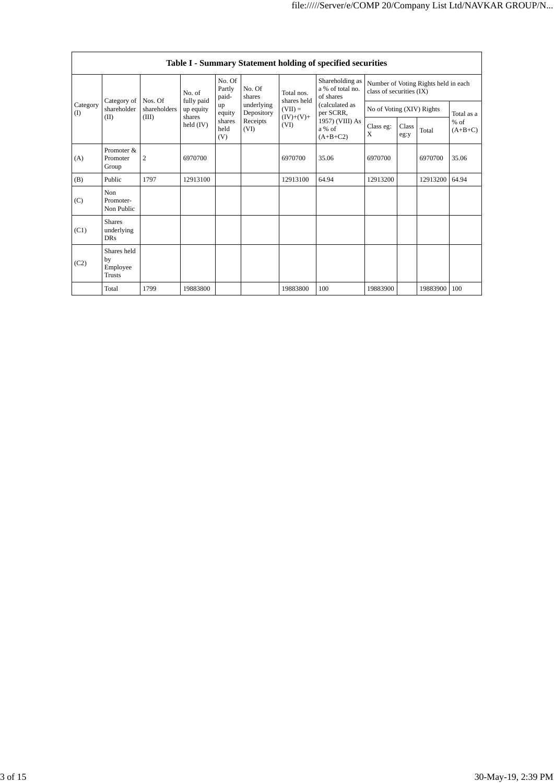|                         | Table I - Summary Statement holding of specified securities |                         |                         |                           |                          |                                  |                                                  |                                                                  |               |          |                     |
|-------------------------|-------------------------------------------------------------|-------------------------|-------------------------|---------------------------|--------------------------|----------------------------------|--------------------------------------------------|------------------------------------------------------------------|---------------|----------|---------------------|
| Category<br>(I)<br>(II) |                                                             |                         | No. of                  | No. Of<br>Partly<br>paid- | No. Of<br>shares         | Total nos.<br>shares held        | Shareholding as<br>a % of total no.<br>of shares | Number of Voting Rights held in each<br>class of securities (IX) |               |          |                     |
|                         | Category of<br>shareholder                                  | Nos. Of<br>shareholders | fully paid<br>up equity | up<br>equity              | underlying<br>Depository | $(VII) =$<br>$(IV)+(V)+$<br>(VI) | (calculated as<br>per SCRR,                      | No of Voting (XIV) Rights                                        |               |          | Total as a          |
|                         |                                                             | (III)                   | shares<br>held (IV)     | shares<br>held<br>(V)     | Receipts<br>(VI)         |                                  | 1957) (VIII) As<br>a % of<br>$(A+B+C2)$          | Class eg:<br>X                                                   | Class<br>eg:y | Total    | $%$ of<br>$(A+B+C)$ |
| (A)                     | Promoter &<br>Promoter<br>Group                             | $\overline{c}$          | 6970700                 |                           |                          | 6970700                          | 35.06                                            | 6970700                                                          |               | 6970700  | 35.06               |
| (B)                     | Public                                                      | 1797                    | 12913100                |                           |                          | 12913100                         | 64.94                                            | 12913200                                                         |               | 12913200 | 64.94               |
| (C)                     | <b>Non</b><br>Promoter-<br>Non Public                       |                         |                         |                           |                          |                                  |                                                  |                                                                  |               |          |                     |
| (C1)                    | <b>Shares</b><br>underlying<br><b>DRs</b>                   |                         |                         |                           |                          |                                  |                                                  |                                                                  |               |          |                     |
| (C2)                    | Shares held<br>by<br>Employee<br>Trusts                     |                         |                         |                           |                          |                                  |                                                  |                                                                  |               |          |                     |
|                         | Total                                                       | 1799                    | 19883800                |                           |                          | 19883800                         | 100                                              | 19883900                                                         |               | 19883900 | 100                 |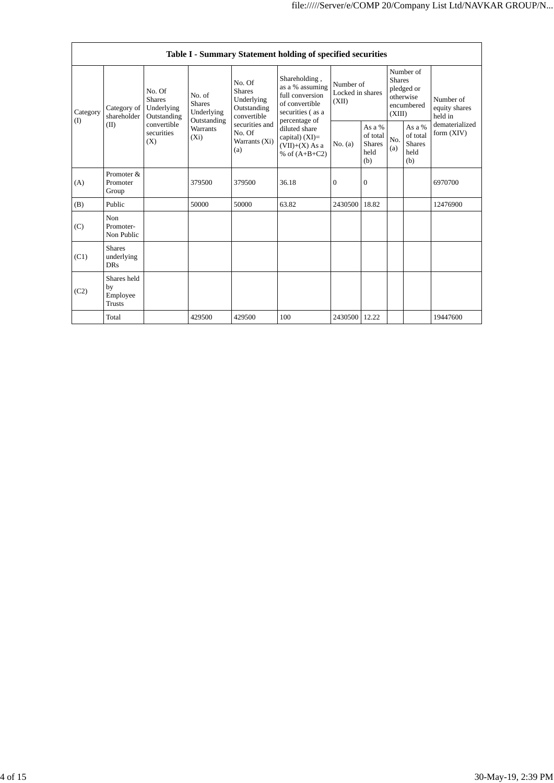|                 |                                                |                                                                                                                                                                         |                                                  |                                                                                            | Table I - Summary Statement holding of specified securities                               |                                                    |                  |                                                    |                                                    |                                                                       |
|-----------------|------------------------------------------------|-------------------------------------------------------------------------------------------------------------------------------------------------------------------------|--------------------------------------------------|--------------------------------------------------------------------------------------------|-------------------------------------------------------------------------------------------|----------------------------------------------------|------------------|----------------------------------------------------|----------------------------------------------------|-----------------------------------------------------------------------|
| Category<br>(I) | Category of<br>shareholder<br>(II)             | No. Of<br>No. of<br><b>Shares</b><br><b>Shares</b><br>Underlying<br>Underlying<br>Outstanding<br>Outstanding<br>convertible<br>Warrants<br>securities<br>$(X_i)$<br>(X) |                                                  | No. Of<br><b>Shares</b><br>Underlying<br>Outstanding<br>convertible                        | Shareholding,<br>as a % assuming<br>full conversion<br>of convertible<br>securities (as a | Number of<br>Locked in shares<br>(XII)             |                  | <b>Shares</b><br>(XIII)                            | Number of<br>pledged or<br>otherwise<br>encumbered | Number of<br>equity shares<br>held in<br>dematerialized<br>form (XIV) |
|                 |                                                |                                                                                                                                                                         | securities and<br>No. Of<br>Warrants (Xi)<br>(a) | percentage of<br>diluted share<br>capital) $(XI)$ =<br>$(VII)+(X)$ As a<br>% of $(A+B+C2)$ | No. (a)                                                                                   | As a %<br>of total<br><b>Shares</b><br>held<br>(b) | No.<br>(a)       | As a %<br>of total<br><b>Shares</b><br>held<br>(b) |                                                    |                                                                       |
| (A)             | Promoter &<br>Promoter<br>Group                |                                                                                                                                                                         | 379500                                           | 379500                                                                                     | 36.18                                                                                     | $\boldsymbol{0}$                                   | $\boldsymbol{0}$ |                                                    |                                                    | 6970700                                                               |
| (B)             | Public                                         |                                                                                                                                                                         | 50000                                            | 50000                                                                                      | 63.82                                                                                     | 2430500                                            | 18.82            |                                                    |                                                    | 12476900                                                              |
| (C)             | Non<br>Promoter-<br>Non Public                 |                                                                                                                                                                         |                                                  |                                                                                            |                                                                                           |                                                    |                  |                                                    |                                                    |                                                                       |
| (C1)            | <b>Shares</b><br>underlying<br><b>DRs</b>      |                                                                                                                                                                         |                                                  |                                                                                            |                                                                                           |                                                    |                  |                                                    |                                                    |                                                                       |
| (C2)            | Shares held<br>by<br>Employee<br><b>Trusts</b> |                                                                                                                                                                         |                                                  |                                                                                            |                                                                                           |                                                    |                  |                                                    |                                                    |                                                                       |
|                 | Total                                          |                                                                                                                                                                         | 429500                                           | 429500                                                                                     | 100                                                                                       | 2430500                                            | 12.22            |                                                    |                                                    | 19447600                                                              |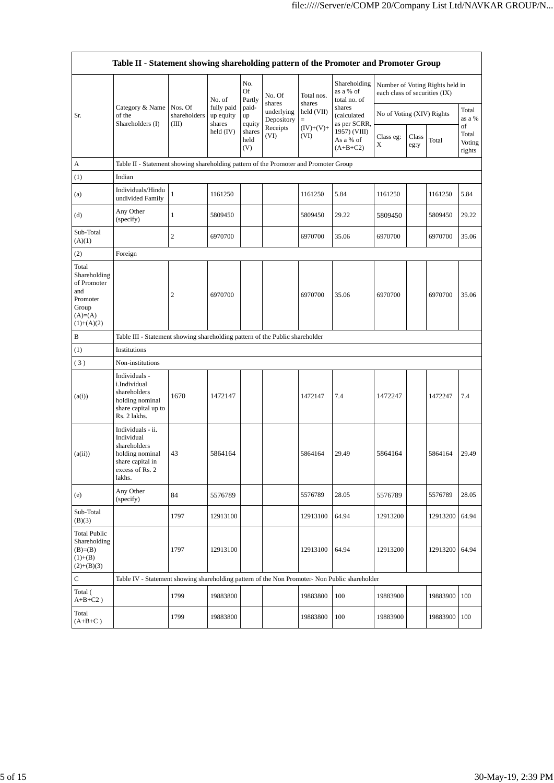|                                                                                                | Table II - Statement showing shareholding pattern of the Promoter and Promoter Group                                |                                  |                                             |                       |                          |                      |                                           |                               |               |                                 |                                 |
|------------------------------------------------------------------------------------------------|---------------------------------------------------------------------------------------------------------------------|----------------------------------|---------------------------------------------|-----------------------|--------------------------|----------------------|-------------------------------------------|-------------------------------|---------------|---------------------------------|---------------------------------|
|                                                                                                |                                                                                                                     |                                  | No. of<br>fully paid<br>up equity<br>shares | No.<br>Of<br>Partly   | No. Of<br>shares         | Total nos.<br>shares | Shareholding<br>as a % of<br>total no. of | each class of securities (IX) |               | Number of Voting Rights held in |                                 |
| Sr.                                                                                            | Category & Name<br>of the<br>Shareholders (I)                                                                       | Nos. Of<br>shareholders<br>(III) |                                             | paid-<br>up<br>equity | underlying<br>Depository | held (VII)<br>$=$    | shares<br>(calculated<br>as per SCRR,     | No of Voting (XIV) Rights     |               |                                 | Total<br>as a %                 |
|                                                                                                |                                                                                                                     |                                  | held $(IV)$                                 | shares<br>held<br>(V) | Receipts<br>(VI)         | $(IV)+(V)+$<br>(VI)  | 1957) (VIII)<br>As a % of<br>$(A+B+C2)$   | Class eg:<br>X                | Class<br>eg:y | Total                           | of<br>Total<br>Voting<br>rights |
| А                                                                                              | Table II - Statement showing shareholding pattern of the Promoter and Promoter Group                                |                                  |                                             |                       |                          |                      |                                           |                               |               |                                 |                                 |
| (1)                                                                                            | Indian                                                                                                              |                                  |                                             |                       |                          |                      |                                           |                               |               |                                 |                                 |
| (a)                                                                                            | Individuals/Hindu<br>undivided Family                                                                               | $\mathbf{1}$                     | 1161250                                     |                       |                          | 1161250              | 5.84                                      | 1161250                       |               | 1161250                         | 5.84                            |
| (d)                                                                                            | Any Other<br>(specify)                                                                                              | $\mathbf{1}$                     | 5809450                                     |                       |                          | 5809450              | 29.22                                     | 5809450                       |               | 5809450                         | 29.22                           |
| Sub-Total<br>(A)(1)                                                                            |                                                                                                                     | 2                                | 6970700                                     |                       |                          | 6970700              | 35.06                                     | 6970700                       |               | 6970700                         | 35.06                           |
| (2)                                                                                            | Foreign                                                                                                             |                                  |                                             |                       |                          |                      |                                           |                               |               |                                 |                                 |
| Total<br>Shareholding<br>of Promoter<br>and<br>Promoter<br>Group<br>$(A)= (A)$<br>$(1)+(A)(2)$ |                                                                                                                     | $\overline{2}$                   | 6970700                                     |                       |                          | 6970700              | 35.06                                     | 6970700                       |               | 6970700                         | 35.06                           |
| B                                                                                              | Table III - Statement showing shareholding pattern of the Public shareholder                                        |                                  |                                             |                       |                          |                      |                                           |                               |               |                                 |                                 |
| (1)                                                                                            | Institutions                                                                                                        |                                  |                                             |                       |                          |                      |                                           |                               |               |                                 |                                 |
| (3)                                                                                            | Non-institutions                                                                                                    |                                  |                                             |                       |                          |                      |                                           |                               |               |                                 |                                 |
| (a(i))                                                                                         | Individuals -<br>i.Individual<br>shareholders<br>holding nominal<br>share capital up to<br>Rs. 2 lakhs.             | 1670                             | 1472147                                     |                       |                          | 1472147              | 7.4                                       | 1472247                       |               | 1472247                         | 7.4                             |
| (a(ii))                                                                                        | Individuals - ii.<br>Individual<br>shareholders<br>holding nominal<br>share capital in<br>excess of Rs. 2<br>lakhs. | 43                               | 5864164                                     |                       |                          | 5864164              | 29.49                                     | 5864164                       |               | 5864164                         | 29.49                           |
| (e)                                                                                            | Any Other<br>(specify)                                                                                              | 84                               | 5576789                                     |                       |                          | 5576789              | 28.05                                     | 5576789                       |               | 5576789                         | 28.05                           |
| Sub-Total<br>(B)(3)                                                                            |                                                                                                                     | 1797                             | 12913100                                    |                       |                          | 12913100             | 64.94                                     | 12913200                      |               | 12913200                        | 64.94                           |
| <b>Total Public</b><br>Shareholding<br>$(B)= (B)$<br>$(1)+(B)$<br>$(2)+(B)(3)$                 |                                                                                                                     | 1797                             | 12913100                                    |                       |                          | 12913100             | 64.94                                     | 12913200                      |               | 12913200                        | 64.94                           |
| С                                                                                              | Table IV - Statement showing shareholding pattern of the Non Promoter- Non Public shareholder                       |                                  |                                             |                       |                          |                      |                                           |                               |               |                                 |                                 |
| Total (<br>$A+B+C2$ )                                                                          |                                                                                                                     | 1799                             | 19883800                                    |                       |                          | 19883800             | 100                                       | 19883900                      |               | 19883900                        | 100                             |
| Total<br>$(A+B+C)$                                                                             |                                                                                                                     | 1799                             | 19883800                                    |                       |                          | 19883800             | 100                                       | 19883900                      |               | 19883900                        | 100                             |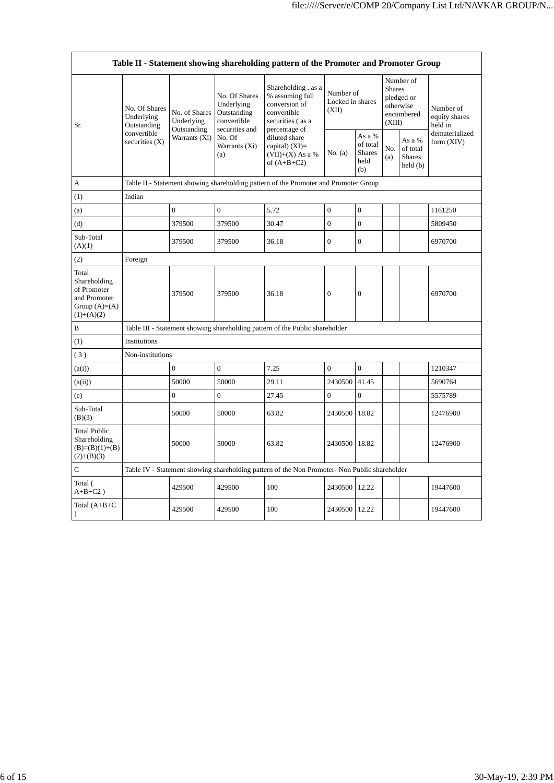| Table II - Statement showing shareholding pattern of the Promoter and Promoter Group    |                                                                               |                                                             |                                                                                                               |                                                                                                            |                                        |                                                    |                                                                               |                                                |                                       |
|-----------------------------------------------------------------------------------------|-------------------------------------------------------------------------------|-------------------------------------------------------------|---------------------------------------------------------------------------------------------------------------|------------------------------------------------------------------------------------------------------------|----------------------------------------|----------------------------------------------------|-------------------------------------------------------------------------------|------------------------------------------------|---------------------------------------|
| Sr.                                                                                     | No. Of Shares<br>Underlying<br>Outstanding<br>convertible<br>securities $(X)$ | No. of Shares<br>Underlying<br>Outstanding<br>Warrants (Xi) | No. Of Shares<br>Underlying<br>Outstanding<br>convertible<br>securities and<br>No. Of<br>Warrants (Xi)<br>(a) | Shareholding, as a<br>% assuming full<br>conversion of<br>convertible<br>securities (as a<br>percentage of | Number of<br>Locked in shares<br>(XII) |                                                    | Number of<br><b>Shares</b><br>pledged or<br>otherwise<br>encumbered<br>(XIII) |                                                | Number of<br>equity shares<br>held in |
|                                                                                         |                                                                               |                                                             |                                                                                                               | diluted share<br>capital) $(XI)$ =<br>$(VII)+(X)$ As a %<br>of $(A+B+C2)$                                  | No. (a)                                | As a %<br>of total<br><b>Shares</b><br>held<br>(b) | No.<br>(a)                                                                    | As a %<br>of total<br><b>Shares</b><br>held(b) | dematerialized<br>form (XIV)          |
| A                                                                                       |                                                                               |                                                             |                                                                                                               | Table II - Statement showing shareholding pattern of the Promoter and Promoter Group                       |                                        |                                                    |                                                                               |                                                |                                       |
| (1)                                                                                     | Indian                                                                        |                                                             |                                                                                                               |                                                                                                            |                                        |                                                    |                                                                               |                                                |                                       |
| (a)                                                                                     |                                                                               | $\overline{0}$                                              | $\overline{0}$                                                                                                | 5.72                                                                                                       | $\mathbf{0}$                           | $\overline{0}$                                     |                                                                               |                                                | 1161250                               |
| (d)                                                                                     |                                                                               | 379500                                                      | 379500                                                                                                        | 30.47                                                                                                      | $\overline{0}$                         | $\overline{0}$                                     |                                                                               |                                                | 5809450                               |
| Sub-Total<br>(A)(1)                                                                     |                                                                               | 379500                                                      | 379500                                                                                                        | 36.18                                                                                                      | $\boldsymbol{0}$                       | $\mathbf{0}$                                       |                                                                               |                                                | 6970700                               |
| (2)                                                                                     | Foreign                                                                       |                                                             |                                                                                                               |                                                                                                            |                                        |                                                    |                                                                               |                                                |                                       |
| Total<br>Shareholding<br>of Promoter<br>and Promoter<br>Group $(A)=(A)$<br>$(1)+(A)(2)$ |                                                                               | 379500                                                      | 379500                                                                                                        | 36.18                                                                                                      | $\mathbf{0}$                           | $\overline{0}$                                     |                                                                               |                                                | 6970700                               |
| B                                                                                       |                                                                               |                                                             |                                                                                                               | Table III - Statement showing shareholding pattern of the Public shareholder                               |                                        |                                                    |                                                                               |                                                |                                       |
| (1)                                                                                     | Institutions                                                                  |                                                             |                                                                                                               |                                                                                                            |                                        |                                                    |                                                                               |                                                |                                       |
| (3)                                                                                     | Non-institutions                                                              |                                                             |                                                                                                               |                                                                                                            |                                        |                                                    |                                                                               |                                                |                                       |
| (a(i))                                                                                  |                                                                               | $\boldsymbol{0}$                                            | $\theta$                                                                                                      | 7.25                                                                                                       | $\Omega$                               | $\Omega$                                           |                                                                               |                                                | 1210347                               |
| (a(ii))                                                                                 |                                                                               | 50000                                                       | 50000                                                                                                         | 29.11                                                                                                      | 2430500                                | 41.45                                              |                                                                               |                                                | 5690764                               |
| (e)                                                                                     |                                                                               | $\boldsymbol{0}$                                            | $\boldsymbol{0}$                                                                                              | 27.45                                                                                                      | $\overline{0}$                         | $\overline{0}$                                     |                                                                               |                                                | 5575789                               |
| Sub-Total<br>(B)(3)                                                                     |                                                                               | 50000                                                       | 50000                                                                                                         | 63.82                                                                                                      | 2430500                                | 18.82                                              |                                                                               |                                                | 12476900                              |
| <b>Total Public</b><br>Shareholding<br>$(B)=(B)(1)+(B)$<br>$(2)+(B)(3)$                 |                                                                               | 50000                                                       | 50000                                                                                                         | 63.82                                                                                                      | 2430500                                | 18.82                                              |                                                                               |                                                | 12476900                              |
| $\mathbf C$                                                                             |                                                                               |                                                             |                                                                                                               | Table IV - Statement showing shareholding pattern of the Non Promoter- Non Public shareholder              |                                        |                                                    |                                                                               |                                                |                                       |
| Total (<br>$A+B+C2$ )                                                                   |                                                                               | 429500                                                      | 429500                                                                                                        | 100                                                                                                        | 2430500                                | 12.22                                              |                                                                               |                                                | 19447600                              |
| Total $(A+B+C)$<br>$\mathcal{L}$                                                        |                                                                               | 429500                                                      | 429500                                                                                                        | 100                                                                                                        | 2430500 12.22                          |                                                    |                                                                               |                                                | 19447600                              |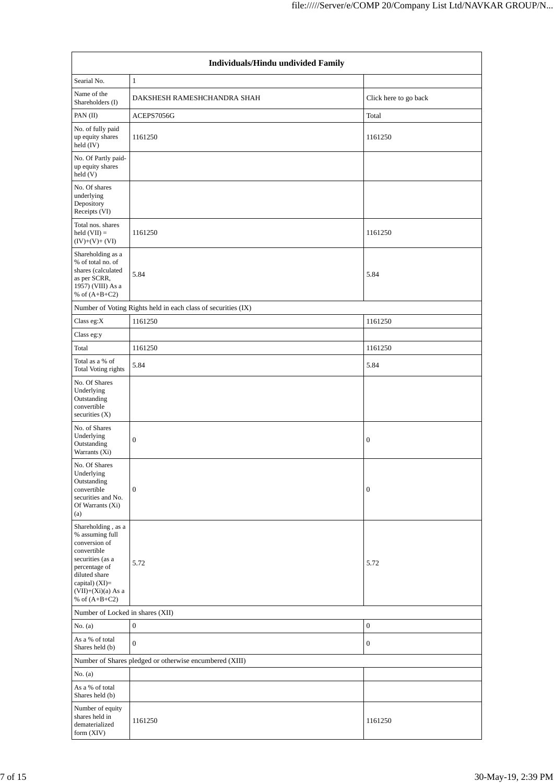| Individuals/Hindu undivided Family                                                                                                                                                       |                                                               |                       |  |  |  |  |  |  |
|------------------------------------------------------------------------------------------------------------------------------------------------------------------------------------------|---------------------------------------------------------------|-----------------------|--|--|--|--|--|--|
| Searial No.                                                                                                                                                                              | $\mathbf{1}$                                                  |                       |  |  |  |  |  |  |
| Name of the<br>Shareholders (I)                                                                                                                                                          | DAKSHESH RAMESHCHANDRA SHAH                                   | Click here to go back |  |  |  |  |  |  |
| PAN (II)                                                                                                                                                                                 | ACEPS7056G                                                    | Total                 |  |  |  |  |  |  |
| No. of fully paid<br>up equity shares<br>held (IV)                                                                                                                                       | 1161250                                                       | 1161250               |  |  |  |  |  |  |
| No. Of Partly paid-<br>up equity shares<br>held (V)                                                                                                                                      |                                                               |                       |  |  |  |  |  |  |
| No. Of shares<br>underlying<br>Depository<br>Receipts (VI)                                                                                                                               |                                                               |                       |  |  |  |  |  |  |
| Total nos. shares<br>$held (VII) =$<br>$(IV)+(V)+(VI)$                                                                                                                                   | 1161250                                                       | 1161250               |  |  |  |  |  |  |
| Shareholding as a<br>% of total no. of<br>shares (calculated<br>as per SCRR,<br>1957) (VIII) As a<br>% of $(A+B+C2)$                                                                     | 5.84                                                          | 5.84                  |  |  |  |  |  |  |
|                                                                                                                                                                                          | Number of Voting Rights held in each class of securities (IX) |                       |  |  |  |  |  |  |
| Class eg: $X$                                                                                                                                                                            | 1161250                                                       | 1161250               |  |  |  |  |  |  |
| Class eg:y                                                                                                                                                                               |                                                               |                       |  |  |  |  |  |  |
| Total                                                                                                                                                                                    | 1161250                                                       | 1161250               |  |  |  |  |  |  |
| Total as a % of<br><b>Total Voting rights</b>                                                                                                                                            | 5.84                                                          | 5.84                  |  |  |  |  |  |  |
| No. Of Shares<br>Underlying<br>Outstanding<br>convertible<br>securities $(X)$                                                                                                            |                                                               |                       |  |  |  |  |  |  |
| No. of Shares<br>Underlying<br>Outstanding<br>Warrants (Xi)                                                                                                                              | $\boldsymbol{0}$                                              | $\boldsymbol{0}$      |  |  |  |  |  |  |
| No. Of Shares<br>Underlying<br>Outstanding<br>convertible<br>securities and No.<br>Of Warrants (Xi)<br>(a)                                                                               | $\boldsymbol{0}$                                              | $\boldsymbol{0}$      |  |  |  |  |  |  |
| Shareholding, as a<br>% assuming full<br>conversion of<br>convertible<br>securities (as a<br>percentage of<br>diluted share<br>capital) (XI)=<br>$(VII)+(Xi)(a)$ As a<br>% of $(A+B+C2)$ | 5.72                                                          | 5.72                  |  |  |  |  |  |  |
| Number of Locked in shares (XII)                                                                                                                                                         |                                                               |                       |  |  |  |  |  |  |
| No. (a)                                                                                                                                                                                  | $\boldsymbol{0}$                                              | $\boldsymbol{0}$      |  |  |  |  |  |  |
| As a % of total<br>Shares held (b)                                                                                                                                                       | $\boldsymbol{0}$                                              | $\boldsymbol{0}$      |  |  |  |  |  |  |
|                                                                                                                                                                                          | Number of Shares pledged or otherwise encumbered (XIII)       |                       |  |  |  |  |  |  |
| No. $(a)$                                                                                                                                                                                |                                                               |                       |  |  |  |  |  |  |
| As a % of total<br>Shares held (b)                                                                                                                                                       |                                                               |                       |  |  |  |  |  |  |
| Number of equity<br>shares held in<br>dematerialized<br>form (XIV)                                                                                                                       | 1161250                                                       | 1161250               |  |  |  |  |  |  |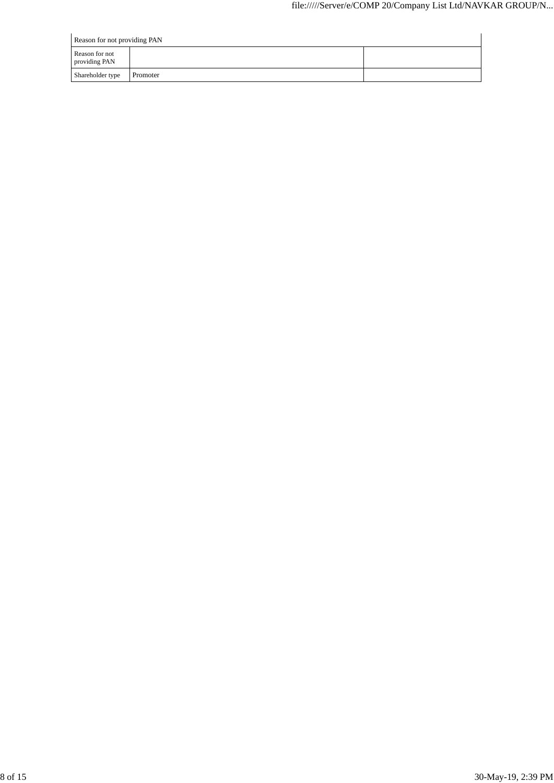| Reason for not providing PAN    |          |  |  |  |  |  |  |
|---------------------------------|----------|--|--|--|--|--|--|
| Reason for not<br>providing PAN |          |  |  |  |  |  |  |
| Shareholder type                | Promoter |  |  |  |  |  |  |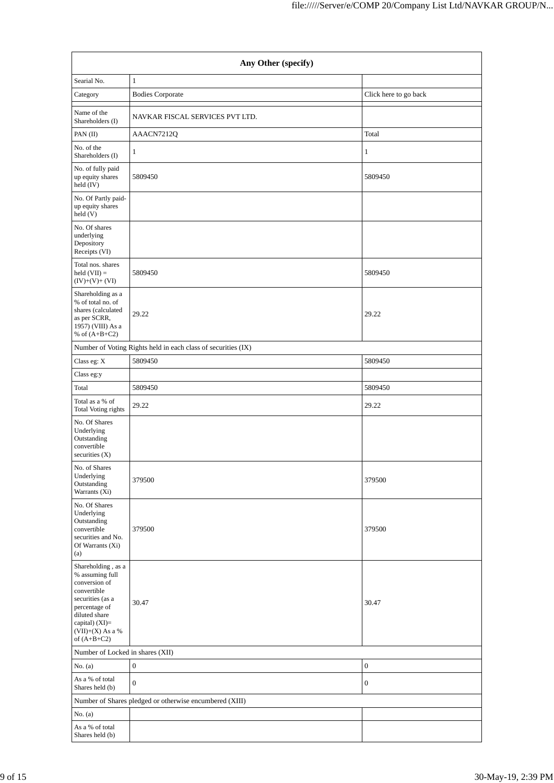|                                                                                                                                                                                      | Any Other (specify)                                           |                       |  |  |  |  |  |  |  |
|--------------------------------------------------------------------------------------------------------------------------------------------------------------------------------------|---------------------------------------------------------------|-----------------------|--|--|--|--|--|--|--|
| Searial No.                                                                                                                                                                          | $\mathbf{1}$                                                  |                       |  |  |  |  |  |  |  |
| Category                                                                                                                                                                             | <b>Bodies Corporate</b>                                       | Click here to go back |  |  |  |  |  |  |  |
| Name of the<br>Shareholders (I)                                                                                                                                                      | NAVKAR FISCAL SERVICES PVT LTD.                               |                       |  |  |  |  |  |  |  |
| PAN (II)                                                                                                                                                                             | AAACN7212Q                                                    | Total                 |  |  |  |  |  |  |  |
| No. of the                                                                                                                                                                           | $\mathbf{1}$                                                  | $\mathbf{1}$          |  |  |  |  |  |  |  |
| Shareholders (I)                                                                                                                                                                     |                                                               |                       |  |  |  |  |  |  |  |
| No. of fully paid<br>up equity shares<br>held (IV)                                                                                                                                   | 5809450                                                       | 5809450               |  |  |  |  |  |  |  |
| No. Of Partly paid-<br>up equity shares<br>held (V)                                                                                                                                  |                                                               |                       |  |  |  |  |  |  |  |
| No. Of shares<br>underlying<br>Depository<br>Receipts (VI)                                                                                                                           |                                                               |                       |  |  |  |  |  |  |  |
| Total nos. shares<br>$held (VII) =$<br>$(IV)+(V)+(VI)$                                                                                                                               | 5809450                                                       | 5809450               |  |  |  |  |  |  |  |
| Shareholding as a<br>% of total no. of<br>shares (calculated<br>as per SCRR,<br>1957) (VIII) As a<br>% of $(A+B+C2)$                                                                 | 29.22                                                         | 29.22                 |  |  |  |  |  |  |  |
|                                                                                                                                                                                      | Number of Voting Rights held in each class of securities (IX) |                       |  |  |  |  |  |  |  |
| Class eg: X                                                                                                                                                                          | 5809450                                                       | 5809450               |  |  |  |  |  |  |  |
| Class eg:y                                                                                                                                                                           |                                                               |                       |  |  |  |  |  |  |  |
| Total                                                                                                                                                                                | 5809450                                                       | 5809450               |  |  |  |  |  |  |  |
| Total as a % of<br>Total Voting rights                                                                                                                                               | 29.22                                                         | 29.22                 |  |  |  |  |  |  |  |
| No. Of Shares<br>Underlying<br>Outstanding<br>convertible<br>securities $(X)$                                                                                                        |                                                               |                       |  |  |  |  |  |  |  |
| No. of Shares<br>Underlying<br>Outstanding<br>Warrants (Xi)                                                                                                                          | 379500                                                        | 379500                |  |  |  |  |  |  |  |
| No. Of Shares<br>Underlying<br>Outstanding<br>convertible<br>securities and No.<br>Of Warrants (Xi)<br>(a)                                                                           | 379500                                                        | 379500                |  |  |  |  |  |  |  |
| Shareholding, as a<br>% assuming full<br>conversion of<br>convertible<br>securities (as a<br>percentage of<br>diluted share<br>capital) (XI)=<br>$(VII)+(X)$ As a %<br>of $(A+B+C2)$ | 30.47                                                         | 30.47                 |  |  |  |  |  |  |  |
|                                                                                                                                                                                      | Number of Locked in shares (XII)                              |                       |  |  |  |  |  |  |  |
| No. $(a)$                                                                                                                                                                            | $\boldsymbol{0}$                                              | $\boldsymbol{0}$      |  |  |  |  |  |  |  |
| As a % of total<br>Shares held (b)                                                                                                                                                   | $\boldsymbol{0}$                                              | $\boldsymbol{0}$      |  |  |  |  |  |  |  |
|                                                                                                                                                                                      | Number of Shares pledged or otherwise encumbered (XIII)       |                       |  |  |  |  |  |  |  |
| No. (a)                                                                                                                                                                              |                                                               |                       |  |  |  |  |  |  |  |
| As a % of total<br>Shares held (b)                                                                                                                                                   |                                                               |                       |  |  |  |  |  |  |  |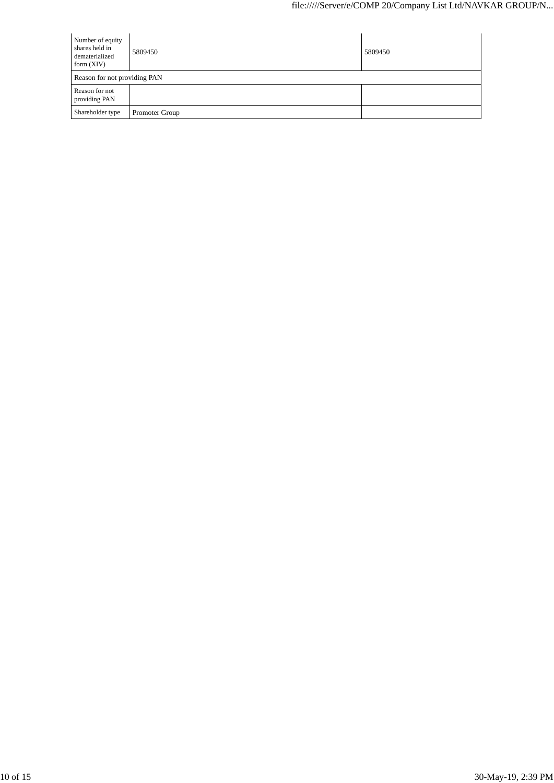| Number of equity<br>shares held in<br>dematerialized<br>form $(XIV)$ | 5809450        | 5809450 |  |  |  |  |  |
|----------------------------------------------------------------------|----------------|---------|--|--|--|--|--|
| Reason for not providing PAN                                         |                |         |  |  |  |  |  |
| Reason for not<br>providing PAN                                      |                |         |  |  |  |  |  |
| Shareholder type                                                     | Promoter Group |         |  |  |  |  |  |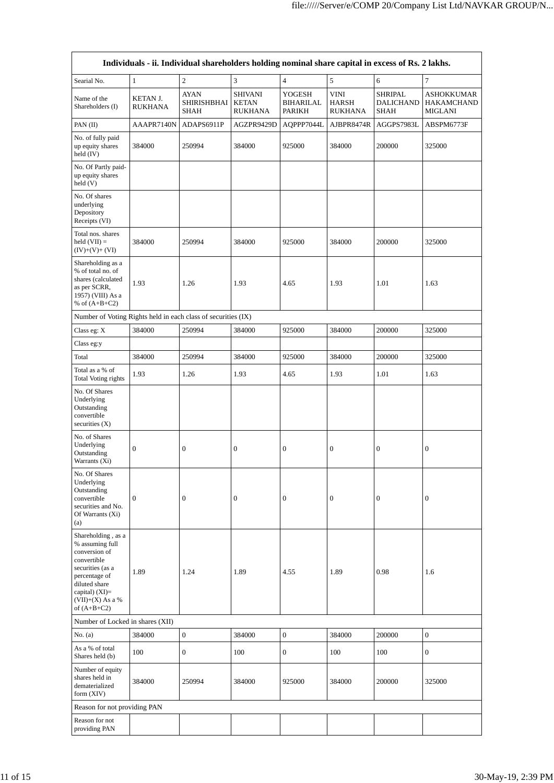|                                                                                                                                                                                        |                                   | Individuals - ii. Individual shareholders holding nominal share capital in excess of Rs. 2 lakhs. |                                                  |                               |                                               |                                            |                                            |
|----------------------------------------------------------------------------------------------------------------------------------------------------------------------------------------|-----------------------------------|---------------------------------------------------------------------------------------------------|--------------------------------------------------|-------------------------------|-----------------------------------------------|--------------------------------------------|--------------------------------------------|
| Searial No.                                                                                                                                                                            | $\mathbf{1}$                      | $\overline{c}$                                                                                    | 3                                                | $\overline{4}$                | 5                                             | 6                                          | $\tau$                                     |
| Name of the<br>Shareholders (I)                                                                                                                                                        | <b>KETAN J.</b><br><b>RUKHANA</b> | <b>AYAN</b><br>SHIRISHBHAI<br>SHAH                                                                | <b>SHIVANI</b><br><b>KETAN</b><br><b>RUKHANA</b> | YOGESH<br>BIHARILAL<br>PARIKH | <b>VINI</b><br><b>HARSH</b><br><b>RUKHANA</b> | <b>SHRIPAL</b><br>DALICHAND<br><b>SHAH</b> | ASHOKKUMAR<br>HAKAMCHAND<br><b>MIGLANI</b> |
| PAN (II)                                                                                                                                                                               | AAAPR7140N                        | ADAPS6911P                                                                                        | AGZPR9429D                                       | AQPPP7044L                    | AJBPR8474R                                    | AGGPS7983L                                 | ABSPM6773F                                 |
| No. of fully paid<br>up equity shares<br>held (IV)                                                                                                                                     | 384000                            | 250994                                                                                            | 384000                                           | 925000                        | 384000                                        | 200000                                     | 325000                                     |
| No. Of Partly paid-<br>up equity shares<br>held (V)                                                                                                                                    |                                   |                                                                                                   |                                                  |                               |                                               |                                            |                                            |
| No. Of shares<br>underlying<br>Depository<br>Receipts (VI)                                                                                                                             |                                   |                                                                                                   |                                                  |                               |                                               |                                            |                                            |
| Total nos. shares<br>held $(VII) =$<br>$(IV)+(V)+(VI)$                                                                                                                                 | 384000                            | 250994                                                                                            | 384000                                           | 925000                        | 384000                                        | 200000                                     | 325000                                     |
| Shareholding as a<br>% of total no. of<br>shares (calculated<br>as per SCRR,<br>1957) (VIII) As a<br>% of $(A+B+C2)$                                                                   | 1.93                              | 1.26                                                                                              | 1.93                                             | 4.65                          | 1.93                                          | 1.01                                       | 1.63                                       |
| Number of Voting Rights held in each class of securities (IX)                                                                                                                          |                                   |                                                                                                   |                                                  |                               |                                               |                                            |                                            |
| Class eg: $X$                                                                                                                                                                          | 384000                            | 250994                                                                                            | 384000                                           | 925000                        | 384000                                        | 200000                                     | 325000                                     |
| Class eg:y                                                                                                                                                                             |                                   |                                                                                                   |                                                  |                               |                                               |                                            |                                            |
| Total                                                                                                                                                                                  | 384000                            | 250994                                                                                            | 384000                                           | 925000                        | 384000                                        | 200000                                     | 325000                                     |
| Total as a % of<br>Total Voting rights                                                                                                                                                 | 1.93                              | 1.26                                                                                              | 1.93                                             | 4.65                          | 1.93                                          | 1.01                                       | 1.63                                       |
| No. Of Shares<br>Underlying<br>Outstanding<br>convertible<br>securities $(X)$                                                                                                          |                                   |                                                                                                   |                                                  |                               |                                               |                                            |                                            |
| No. of Shares<br>Underlying<br>Outstanding<br>Warrants (Xi)                                                                                                                            | $\boldsymbol{0}$                  | $\boldsymbol{0}$                                                                                  | $\boldsymbol{0}$                                 | $\boldsymbol{0}$              | $\boldsymbol{0}$                              | $\boldsymbol{0}$                           | $\boldsymbol{0}$                           |
| No. Of Shares<br>Underlying<br>Outstanding<br>convertible<br>securities and No.<br>Of Warrants (Xi)<br>(a)                                                                             | $\boldsymbol{0}$                  | $\boldsymbol{0}$                                                                                  | $\boldsymbol{0}$                                 | $\boldsymbol{0}$              | $\boldsymbol{0}$                              | $\boldsymbol{0}$                           | 0                                          |
| Shareholding, as a<br>% assuming full<br>conversion of<br>convertible<br>securities (as a<br>percentage of<br>diluted share<br>capital) $(XI)=$<br>$(VII)+(X)$ As a %<br>of $(A+B+C2)$ | 1.89                              | 1.24                                                                                              | 1.89                                             | 4.55                          | 1.89                                          | 0.98                                       | 1.6                                        |
| Number of Locked in shares (XII)                                                                                                                                                       |                                   |                                                                                                   |                                                  |                               |                                               |                                            |                                            |
| No. (a)                                                                                                                                                                                | 384000                            | $\boldsymbol{0}$                                                                                  | 384000                                           | $\boldsymbol{0}$              | 384000                                        | 200000                                     | $\boldsymbol{0}$                           |
| As a % of total<br>Shares held (b)                                                                                                                                                     | 100                               | $\boldsymbol{0}$                                                                                  | 100                                              | $\boldsymbol{0}$              | 100                                           | 100                                        | $\overline{0}$                             |
| Number of equity<br>shares held in<br>dematerialized<br>form $(XIV)$                                                                                                                   | 384000                            | 250994                                                                                            | 384000                                           | 925000                        | 384000                                        | 200000                                     | 325000                                     |
| Reason for not providing PAN                                                                                                                                                           |                                   |                                                                                                   |                                                  |                               |                                               |                                            |                                            |
| Reason for not<br>providing PAN                                                                                                                                                        |                                   |                                                                                                   |                                                  |                               |                                               |                                            |                                            |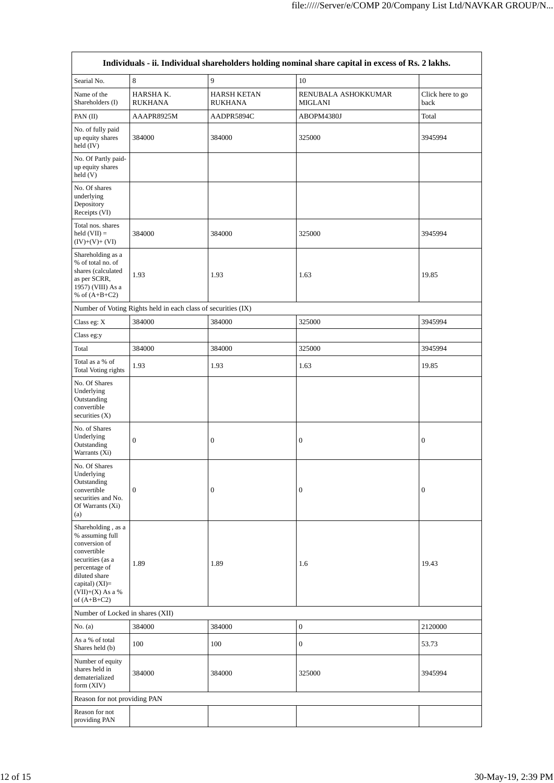|                                                                                                                                                                                        |                                                               |                                      | Individuals - ii. Individual shareholders holding nominal share capital in excess of Rs. 2 lakhs. |                          |
|----------------------------------------------------------------------------------------------------------------------------------------------------------------------------------------|---------------------------------------------------------------|--------------------------------------|---------------------------------------------------------------------------------------------------|--------------------------|
| Searial No.                                                                                                                                                                            | $\,$ 8 $\,$                                                   | $\overline{9}$                       | 10                                                                                                |                          |
| Name of the<br>Shareholders (I)                                                                                                                                                        | HARSHA K.<br><b>RUKHANA</b>                                   | <b>HARSH KETAN</b><br><b>RUKHANA</b> | RENUBALA ASHOKKUMAR<br><b>MIGLANI</b>                                                             | Click here to go<br>back |
| PAN (II)                                                                                                                                                                               | AAAPR8925M                                                    | AADPR5894C                           | ABOPM4380J                                                                                        | Total                    |
| No. of fully paid<br>up equity shares<br>held $(IV)$                                                                                                                                   | 384000                                                        | 384000                               | 325000                                                                                            | 3945994                  |
| No. Of Partly paid-<br>up equity shares<br>held (V)                                                                                                                                    |                                                               |                                      |                                                                                                   |                          |
| No. Of shares<br>underlying<br>Depository<br>Receipts (VI)                                                                                                                             |                                                               |                                      |                                                                                                   |                          |
| Total nos. shares<br>$held (VII) =$<br>$(IV)+(V)+(VI)$                                                                                                                                 | 384000                                                        | 384000                               | 325000                                                                                            | 3945994                  |
| Shareholding as a<br>% of total no. of<br>shares (calculated<br>as per SCRR,<br>1957) (VIII) As a<br>% of $(A+B+C2)$                                                                   | 1.93                                                          | 1.93                                 | 1.63                                                                                              | 19.85                    |
|                                                                                                                                                                                        | Number of Voting Rights held in each class of securities (IX) |                                      |                                                                                                   |                          |
| Class eg: X                                                                                                                                                                            | 384000                                                        | 384000                               | 325000                                                                                            | 3945994                  |
| Class eg:y                                                                                                                                                                             |                                                               |                                      |                                                                                                   |                          |
| Total                                                                                                                                                                                  | 384000                                                        | 384000                               | 325000                                                                                            | 3945994                  |
| Total as a % of<br><b>Total Voting rights</b>                                                                                                                                          | 1.93                                                          | 1.93                                 | 1.63                                                                                              | 19.85                    |
| No. Of Shares<br>Underlying<br>Outstanding<br>convertible<br>securities $(X)$                                                                                                          |                                                               |                                      |                                                                                                   |                          |
| No. of Shares<br>Underlying<br>Outstanding<br>Warrants (Xi)                                                                                                                            | $\boldsymbol{0}$                                              | $\boldsymbol{0}$                     | $\boldsymbol{0}$                                                                                  | $\boldsymbol{0}$         |
| No. Of Shares<br>Underlying<br>Outstanding<br>convertible<br>securities and No.<br>Of Warrants (Xi)<br>(a)                                                                             | $\boldsymbol{0}$                                              | $\boldsymbol{0}$                     | $\boldsymbol{0}$                                                                                  | $\boldsymbol{0}$         |
| Shareholding, as a<br>% assuming full<br>conversion of<br>convertible<br>securities (as a<br>percentage of<br>diluted share<br>capital) $(XI)=$<br>$(VII)+(X)$ As a %<br>of $(A+B+C2)$ | 1.89                                                          | 1.89                                 | 1.6                                                                                               | 19.43                    |
| Number of Locked in shares (XII)                                                                                                                                                       |                                                               |                                      |                                                                                                   |                          |
| No. $(a)$                                                                                                                                                                              | 384000                                                        | 384000                               | $\boldsymbol{0}$                                                                                  | 2120000                  |
| As a % of total<br>Shares held (b)                                                                                                                                                     | 100                                                           | 100                                  | $\boldsymbol{0}$                                                                                  | 53.73                    |
| Number of equity<br>shares held in<br>dematerialized<br>form (XIV)                                                                                                                     | 384000                                                        | 384000                               | 325000                                                                                            | 3945994                  |
| Reason for not providing PAN                                                                                                                                                           |                                                               |                                      |                                                                                                   |                          |
| Reason for not<br>providing PAN                                                                                                                                                        |                                                               |                                      |                                                                                                   |                          |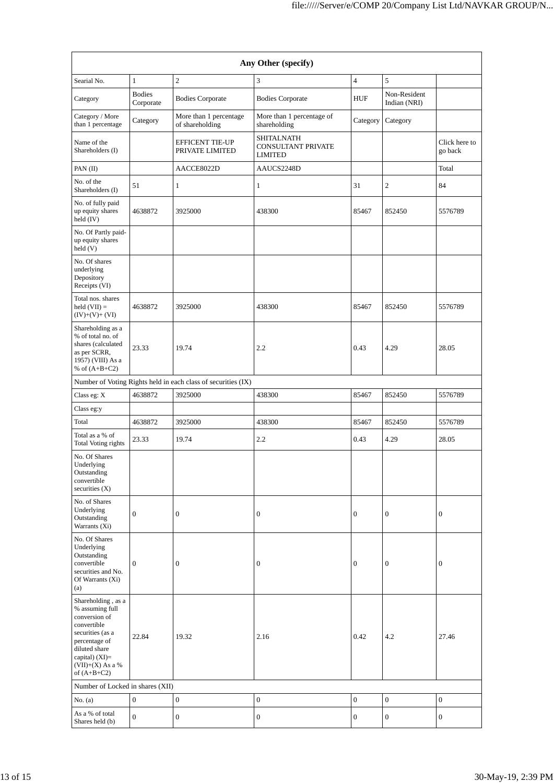| Any Other (specify)                                                                                                                                                                  |                            |                                           |                                                                  |                  |                              |                          |  |  |  |  |
|--------------------------------------------------------------------------------------------------------------------------------------------------------------------------------------|----------------------------|-------------------------------------------|------------------------------------------------------------------|------------------|------------------------------|--------------------------|--|--|--|--|
| Searial No.                                                                                                                                                                          | $\mathbf{1}$               | $\overline{2}$                            | 3                                                                | $\overline{4}$   | 5                            |                          |  |  |  |  |
| Category                                                                                                                                                                             | <b>Bodies</b><br>Corporate | <b>Bodies Corporate</b>                   | <b>Bodies Corporate</b>                                          | <b>HUF</b>       | Non-Resident<br>Indian (NRI) |                          |  |  |  |  |
| Category / More<br>than 1 percentage                                                                                                                                                 | Category                   | More than 1 percentage<br>of shareholding | More than 1 percentage of<br>shareholding                        | Category         | Category                     |                          |  |  |  |  |
| Name of the<br>Shareholders (I)                                                                                                                                                      |                            | <b>EFFICENT TIE-UP</b><br>PRIVATE LIMITED | <b>SHITALNATH</b><br><b>CONSULTANT PRIVATE</b><br><b>LIMITED</b> |                  |                              | Click here to<br>go back |  |  |  |  |
| PAN (II)                                                                                                                                                                             |                            | AACCE8022D                                | AAUCS2248D                                                       |                  |                              | Total                    |  |  |  |  |
| No. of the<br>Shareholders (I)                                                                                                                                                       | 51                         | $\mathbf{1}$                              | $\mathbf{1}$                                                     | 31               | $\overline{c}$               | 84                       |  |  |  |  |
| No. of fully paid<br>up equity shares<br>held (IV)                                                                                                                                   | 4638872                    | 3925000                                   | 438300                                                           | 85467            | 852450                       | 5576789                  |  |  |  |  |
| No. Of Partly paid-<br>up equity shares<br>held (V)                                                                                                                                  |                            |                                           |                                                                  |                  |                              |                          |  |  |  |  |
| No. Of shares<br>underlying<br>Depository<br>Receipts (VI)                                                                                                                           |                            |                                           |                                                                  |                  |                              |                          |  |  |  |  |
| Total nos. shares<br>$held (VII) =$<br>$(IV)+(V)+(VI)$                                                                                                                               | 4638872                    | 3925000                                   | 438300                                                           | 85467            | 852450                       | 5576789                  |  |  |  |  |
| Shareholding as a<br>% of total no. of<br>shares (calculated<br>as per SCRR,<br>1957) (VIII) As a<br>% of $(A+B+C2)$                                                                 | 23.33                      | 19.74                                     | 2.2                                                              | 0.43             | 4.29                         | 28.05                    |  |  |  |  |
| Number of Voting Rights held in each class of securities (IX)                                                                                                                        |                            |                                           |                                                                  |                  |                              |                          |  |  |  |  |
| Class eg: X                                                                                                                                                                          | 4638872                    | 3925000                                   | 438300                                                           | 85467            | 852450                       | 5576789                  |  |  |  |  |
| Class eg:y                                                                                                                                                                           |                            |                                           |                                                                  |                  |                              |                          |  |  |  |  |
| Total                                                                                                                                                                                | 4638872                    | 3925000                                   | 438300                                                           | 85467            | 852450                       | 5576789                  |  |  |  |  |
| Total as a % of<br><b>Total Voting rights</b>                                                                                                                                        | 23.33                      | 19.74                                     | 2.2                                                              | 0.43             | 4.29                         | 28.05                    |  |  |  |  |
| No. Of Shares<br>Underlying<br>Outstanding<br>convertible<br>securities (X)                                                                                                          |                            |                                           |                                                                  |                  |                              |                          |  |  |  |  |
| No. of Shares<br>Underlying<br>Outstanding<br>Warrants (Xi)                                                                                                                          | $\boldsymbol{0}$           | $\mathbf{0}$                              | 0                                                                | $\mathbf{0}$     | $\boldsymbol{0}$             | $\boldsymbol{0}$         |  |  |  |  |
| No. Of Shares<br>Underlying<br>Outstanding<br>convertible<br>securities and No.<br>Of Warrants (Xi)<br>(a)                                                                           | $\boldsymbol{0}$           | $\boldsymbol{0}$                          | 0                                                                | $\boldsymbol{0}$ | 0                            | 0                        |  |  |  |  |
| Shareholding, as a<br>% assuming full<br>conversion of<br>convertible<br>securities (as a<br>percentage of<br>diluted share<br>capital) (XI)=<br>$(VII)+(X)$ As a %<br>of $(A+B+C2)$ | 22.84                      | 19.32                                     | 2.16                                                             | 0.42             | 4.2                          | 27.46                    |  |  |  |  |
| Number of Locked in shares (XII)                                                                                                                                                     |                            |                                           |                                                                  |                  |                              |                          |  |  |  |  |
| No. $(a)$                                                                                                                                                                            | $\boldsymbol{0}$           | $\boldsymbol{0}$                          | $\boldsymbol{0}$                                                 | $\mathbf{0}$     | $\boldsymbol{0}$             | $\boldsymbol{0}$         |  |  |  |  |
| As a % of total<br>Shares held (b)                                                                                                                                                   | $\boldsymbol{0}$           | $\boldsymbol{0}$                          | $\boldsymbol{0}$                                                 | $\boldsymbol{0}$ | $\boldsymbol{0}$             | $\boldsymbol{0}$         |  |  |  |  |